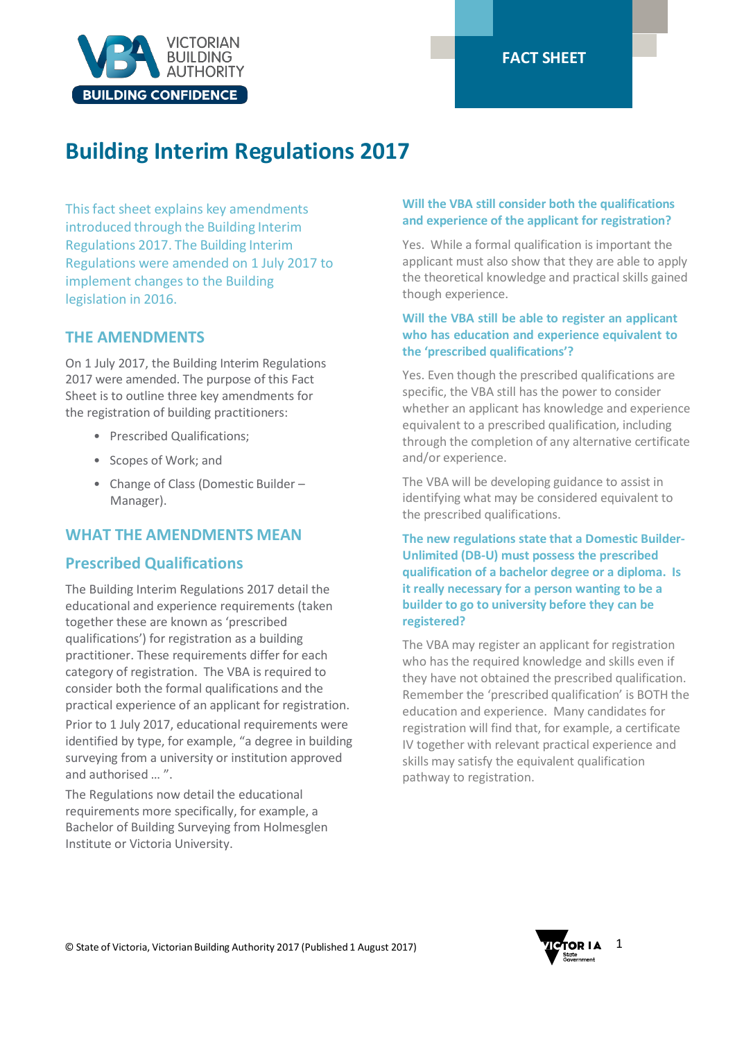

# **Building Interim Regulations 2017**

This fact sheet explains key amendments introduced through the Building Interim Regulations 2017. The Building Interim Regulations were amended on 1 July 2017 to implement changes to the Building legislation in 2016.

# **THE AMENDMENTS**

On 1 July 2017, the Building Interim Regulations 2017 were amended. The purpose of this Fact Sheet is to outline three key amendments for the registration of building practitioners:

- Prescribed Qualifications;
- Scopes of Work; and
- Change of Class (Domestic Builder Manager).

# **WHAT THE AMENDMENTS MEAN**

## **Prescribed Qualifications**

The Building Interim Regulations 2017 detail the educational and experience requirements (taken together these are known as 'prescribed qualifications') for registration as a building practitioner. These requirements differ for each category of registration. The VBA is required to consider both the formal qualifications and the practical experience of an applicant for registration.

Prior to 1 July 2017, educational requirements were identified by type, for example, "a degree in building surveying from a university or institution approved and authorised … ".

The Regulations now detail the educational requirements more specifically, for example, a Bachelor of Building Surveying from Holmesglen Institute or Victoria University.

### **Will the VBA still consider both the qualifications and experience of the applicant for registration?**

Yes. While a formal qualification is important the applicant must also show that they are able to apply the theoretical knowledge and practical skills gained though experience.

## **Will the VBA still be able to register an applicant who has education and experience equivalent to the 'prescribed qualifications'?**

Yes. Even though the prescribed qualifications are specific, the VBA still has the power to consider whether an applicant has knowledge and experience equivalent to a prescribed qualification, including through the completion of any alternative certificate and/or experience.

The VBA will be developing guidance to assist in identifying what may be considered equivalent to the prescribed qualifications.

**The new regulations state that a Domestic Builder-Unlimited (DB-U) must possess the prescribed qualification of a bachelor degree or a diploma. Is it really necessary for a person wanting to be a builder to go to university before they can be registered?**

The VBA may register an applicant for registration who has the required knowledge and skills even if they have not obtained the prescribed qualification. Remember the 'prescribed qualification' is BOTH the education and experience. Many candidates for registration will find that, for example, a certificate IV together with relevant practical experience and skills may satisfy the equivalent qualification pathway to registration.

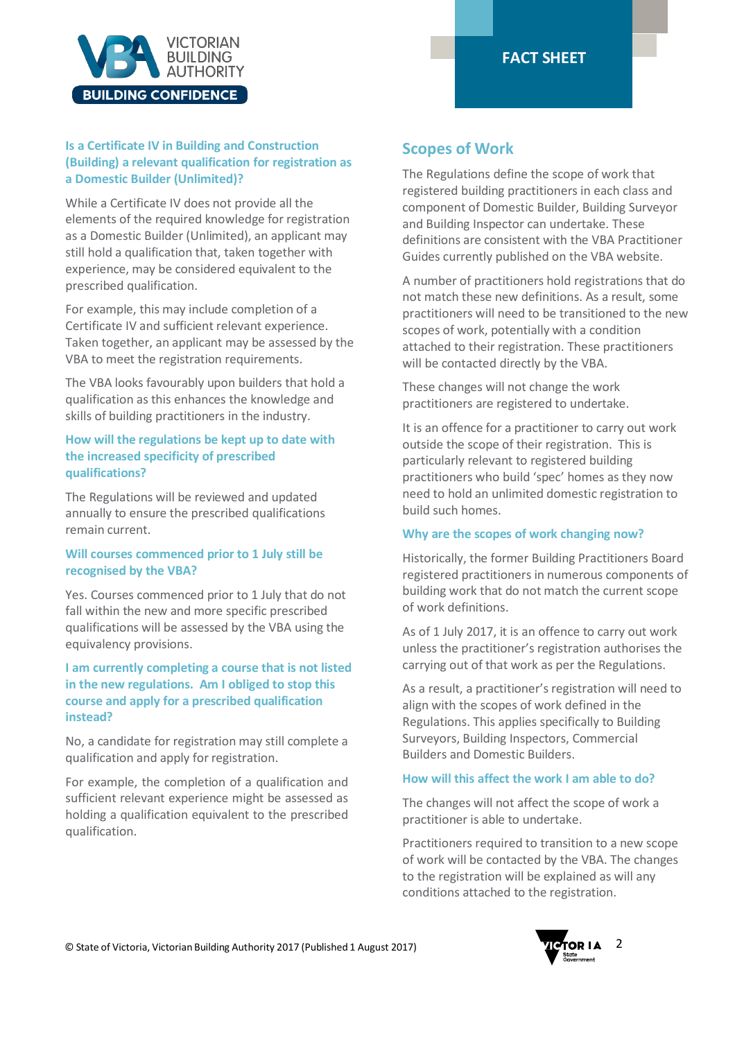



## **Is a Certificate IV in Building and Construction (Building) a relevant qualification for registration as a Domestic Builder (Unlimited)?**

While a Certificate IV does not provide all the elements of the required knowledge for registration as a Domestic Builder (Unlimited), an applicant may still hold a qualification that, taken together with experience, may be considered equivalent to the prescribed qualification.

For example, this may include completion of a Certificate IV and sufficient relevant experience. Taken together, an applicant may be assessed by the VBA to meet the registration requirements.

The VBA looks favourably upon builders that hold a qualification as this enhances the knowledge and skills of building practitioners in the industry.

#### **How will the regulations be kept up to date with the increased specificity of prescribed qualifications?**

The Regulations will be reviewed and updated annually to ensure the prescribed qualifications remain current.

#### **Will courses commenced prior to 1 July still be recognised by the VBA?**

Yes. Courses commenced prior to 1 July that do not fall within the new and more specific prescribed qualifications will be assessed by the VBA using the equivalency provisions.

## **I am currently completing a course that is not listed in the new regulations. Am I obliged to stop this course and apply for a prescribed qualification instead?**

No, a candidate for registration may still complete a qualification and apply for registration.

For example, the completion of a qualification and sufficient relevant experience might be assessed as holding a qualification equivalent to the prescribed qualification.

## **Scopes of Work**

The Regulations define the scope of work that registered building practitioners in each class and component of Domestic Builder, Building Surveyor and Building Inspector can undertake. These definitions are consistent with the VBA Practitioner Guides currently published on the VBA website.

A number of practitioners hold registrations that do not match these new definitions. As a result, some practitioners will need to be transitioned to the new scopes of work, potentially with a condition attached to their registration. These practitioners will be contacted directly by the VBA.

These changes will not change the work practitioners are registered to undertake.

It is an offence for a practitioner to carry out work outside the scope of their registration. This is particularly relevant to registered building practitioners who build 'spec' homes as they now need to hold an unlimited domestic registration to build such homes.

#### **Why are the scopes of work changing now?**

Historically, the former Building Practitioners Board registered practitioners in numerous components of building work that do not match the current scope of work definitions.

As of 1 July 2017, it is an offence to carry out work unless the practitioner's registration authorises the carrying out of that work as per the Regulations.

As a result, a practitioner's registration will need to align with the scopes of work defined in the Regulations. This applies specifically to Building Surveyors, Building Inspectors, Commercial Builders and Domestic Builders.

#### **How will this affect the work I am able to do?**

The changes will not affect the scope of work a practitioner is able to undertake.

Practitioners required to transition to a new scope of work will be contacted by the VBA. The changes to the registration will be explained as will any conditions attached to the registration.